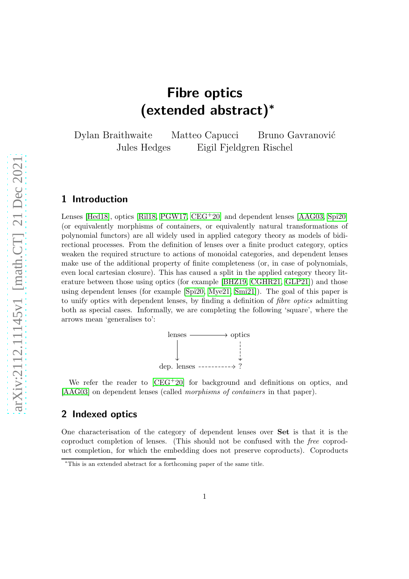# Fibre optics (extended abstract)<sup>∗</sup>

Dylan Braithwaite Matteo Capucci Bruno Gavranović Jules Hedges Eigil Fjeldgren Rischel

## 1 Introduction

Lenses [\[Hed18\]](#page-7-0), optics [\[Ril18,](#page-7-1) [PGW17,](#page-7-2) [CEG](#page-6-0)+20] and dependent lenses [\[AAG03,](#page-6-1) [Spi20\]](#page-7-3) (or equivalently morphisms of containers, or equivalently natural transformations of polynomial functors) are all widely used in applied category theory as models of bidirectional processes. From the definition of lenses over a finite product category, optics weaken the required structure to actions of monoidal categories, and dependent lenses make use of the additional property of finite completeness (or, in case of polynomials, even local cartesian closure). This has caused a split in the applied category theory literature between those using optics (for example [\[BHZ19,](#page-6-2) [CGHR21,](#page-6-3) [GLP21\]](#page-7-4)) and those using dependent lenses (for example [\[Spi20,](#page-7-3) [Mye21,](#page-7-5) [Smi21\]](#page-7-6)). The goal of this paper is to unify optics with dependent lenses, by finding a definition of fibre optics admitting both as special cases. Informally, we are completing the following 'square', where the arrows mean 'generalises to':



We refer the reader to  $[CEG^+20]$  for background and definitions on optics, and [\[AAG03\]](#page-6-1) on dependent lenses (called morphisms of containers in that paper).

## 2 Indexed optics

One characterisation of the category of dependent lenses over Set is that it is the coproduct completion of lenses. (This should not be confused with the free coproduct completion, for which the embedding does not preserve coproducts). Coproducts

<sup>∗</sup>This is an extended abstract for a forthcoming paper of the same title.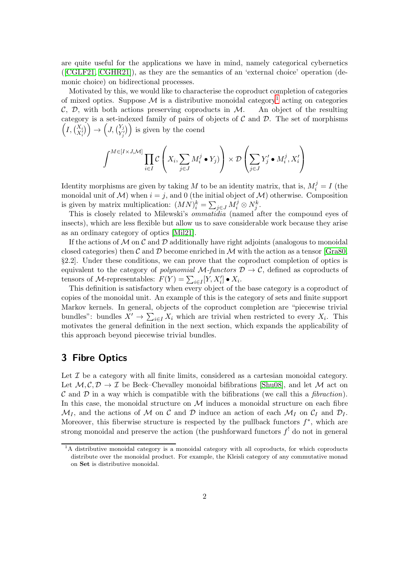are quite useful for the applications we have in mind, namely categorical cybernetics ([\[CGLF21,](#page-6-4) [CGHR21\]](#page-6-3)), as they are the semantics of an 'external choice' operation (demonic choice) on bidirectional processes.

Motivated by this, we would like to characterise the coproduct completion of categories of mixed optics. Suppose  $\mathcal M$  is a distributive monoidal category<sup>[1](#page-1-0)</sup> acting on categories  $\mathcal{C}, \mathcal{D},$  with both actions preserving coproducts in  $\mathcal{M}$ . An object of the resulting category is a set-indexed family of pairs of objects of  $C$  and  $D$ . The set of morphisms  $\left(I,\begin{pmatrix} X_i \\ X'_i \end{pmatrix}\right) \rightarrow \left(J,\begin{pmatrix} Y_j \\ Y'_j \end{pmatrix}\right)$  is given by the coend

$$
\int^{M \in [I \times J, \mathcal{M}]} \prod_{i \in I} \mathcal{C} \left( X_i, \sum_{j \in J} M_i^j \bullet Y_j) \right) \times \mathcal{D} \left( \sum_{j \in J} Y_j' \bullet M_i^j, X_i' \right)
$$

Identity morphisms are given by taking M to be an identity matrix, that is,  $M_i^j = I$  (the monoidal unit of M) when  $i = j$ , and 0 (the initial object of M) otherwise. Composition is given by matrix multiplication:  $(MN)^k_i = \sum_{j \in J} M^j_i \otimes N^k_j$ .

This is closely related to Milewski's *ommatidia* (named after the compound eyes of insects), which are less flexible but allow us to save considerable work because they arise as an ordinary category of optics [\[Mil21\]](#page-7-7).

If the actions of  $\mathcal M$  on  $\mathcal C$  and  $\mathcal D$  additionally have right adjoints (analogous to monoidal closed categories) then C and D become enriched in M with the action as a tensor [\[Gra80,](#page-7-8) §2.2]. Under these conditions, we can prove that the coproduct completion of optics is equivalent to the category of polynomial M-functors  $\mathcal{D} \to \mathcal{C}$ , defined as coproducts of tensors of *M*-representables:  $F(Y) = \sum_{i \in I} [Y, X'_i] \bullet X_i$ .

This definition is satisfactory when every object of the base category is a coproduct of copies of the monoidal unit. An example of this is the category of sets and finite support Markov kernels. In general, objects of the coproduct completion are "piecewise trivial bundles": bundles  $X' \to \sum_{i \in I} X_i$  which are trivial when restricted to every  $X_i$ . This motivates the general definition in the next section, which expands the applicability of this approach beyond piecewise trivial bundles.

## 3 Fibre Optics

Let  $\mathcal I$  be a category with all finite limits, considered as a cartesian monoidal category. Let  $M, C, D \to \mathcal{I}$  be Beck–Chevalley monoidal bifibrations [\[Shu08\]](#page-7-9), and let M act on C and D in a way which is compatible with the bifibrations (we call this a *fibraction*). In this case, the monoidal structure on  $\mathcal M$  induces a monoidal structure on each fibre  $\mathcal{M}_I$ , and the actions of M on C and D induce an action of each  $\mathcal{M}_I$  on  $\mathcal{C}_I$  and  $\mathcal{D}_I$ . Moreover, this fiberwise structure is respected by the pullback functors  $f^*$ , which are strong monoidal and preserve the action (the pushforward functors  $f^!$  do not in general

<span id="page-1-0"></span> ${}^{1}$ A distributive monoidal category is a monoidal category with all coproducts, for which coproducts distribute over the monoidal product. For example, the Kleisli category of any commutative monad on Set is distributive monoidal.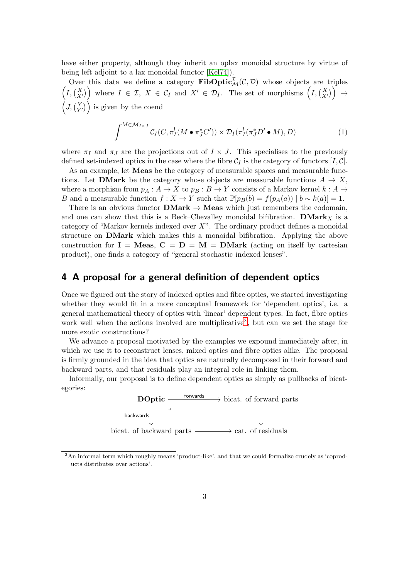have either property, although they inherit an oplax monoidal structure by virtue of being left adjoint to a lax monoidal functor [\[Kel74\]](#page-7-10)).

Over this data we define a category  $\mathbf{FibOptic}_{\mathcal{M}}^{\mathcal{I}}(\mathcal{C},\mathcal{D})$  whose objects are triples  $\left(I, \begin{pmatrix} X \\ X' \end{pmatrix}\right)$  where  $I \in \mathcal{I}, X \in \mathcal{C}_I$  and  $X' \in \mathcal{D}_I$ . The set of morphisms  $\left(I, \begin{pmatrix} X \\ X' \end{pmatrix}\right) \rightarrow$  $(J, {Y \choose Y'})$  is given by the coend

<span id="page-2-1"></span>
$$
\int^{M \in \mathcal{M}_{I \times J}} C_I(C, \pi_I^!(M \bullet \pi_J^* C')) \times \mathcal{D}_I(\pi_I^!(\pi_J^* D' \bullet M), D) \tag{1}
$$

where  $\pi_I$  and  $\pi_J$  are the projections out of  $I \times J$ . This specialises to the previously defined set-indexed optics in the case where the fibre  $C_I$  is the category of functors  $[I, C]$ .

As an example, let Meas be the category of measurable spaces and measurable functions. Let **DMark** be the category whose objects are measurable functions  $A \rightarrow X$ , where a morphism from  $p_A : A \to X$  to  $p_B : B \to Y$  consists of a Markov kernel  $k : A \to Y$ B and a measurable function  $f : X \to Y$  such that  $\mathbb{P}[p_B(b) = f(p_A(a)) | b \sim k(a)] = 1$ .

There is an obvious functor  $\mathbf{DMark} \to \mathbf{Meas}$  which just remembers the codomain, and one can show that this is a Beck–Chevalley monoidal bifibration. DMark<sub>X</sub> is a category of "Markov kernels indexed over  $X$ ". The ordinary product defines a monoidal structure on DMark which makes this a monoidal bifibration. Applying the above construction for  $I = Meas$ ,  $C = D = M = DMark$  (acting on itself by cartesian product), one finds a category of "general stochastic indexed lenses".

### 4 A proposal for a general definition of dependent optics

Once we figured out the story of indexed optics and fibre optics, we started investigating whether they would fit in a more conceptual framework for 'dependent optics', i.e. a general mathematical theory of optics with 'linear' dependent types. In fact, fibre optics work well when the actions involved are multiplicative<sup>[2](#page-2-0)</sup>, but can we set the stage for more exotic constructions?

We advance a proposal motivated by the examples we expound immediately after, in which we use it to reconstruct lenses, mixed optics and fibre optics alike. The proposal is firmly grounded in the idea that optics are naturally decomposed in their forward and backward parts, and that residuals play an integral role in linking them.

Informally, our proposal is to define dependent optics as simply as pullbacks of bicategories:



<span id="page-2-0"></span><sup>2</sup>An informal term which roughly means 'product-like', and that we could formalize crudely as 'coproducts distributes over actions'.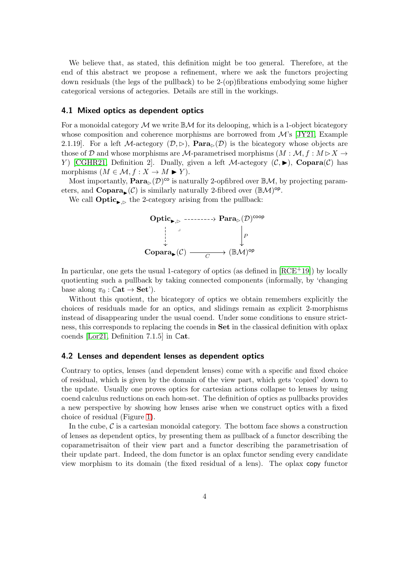We believe that, as stated, this definition might be too general. Therefore, at the end of this abstract we propose a refinement, where we ask the functors projecting down residuals (the legs of the pullback) to be 2-(op)fibrations embodying some higher categorical versions of actegories. Details are still in the workings.

#### 4.1 Mixed optics as dependent optics

For a monoidal category  $\mathcal M$  we write  $\mathbb{B}\mathcal M$  for its delooping, which is a 1-object bicategory whose composition and coherence morphisms are borrowed from  $\mathcal{M}$ 's [\[JY21,](#page-7-11) Example 2.1.19]. For a left M-actegory  $(\mathcal{D}, \triangleright)$ ,  $\textbf{Para}_{\triangleright}(\mathcal{D})$  is the bicategory whose objects are those of D and whose morphisms are M-parametrised morphisms  $(M : \mathcal{M}, f : M \triangleright X \rightarrow$ Y) [\[CGHR21,](#page-6-3) Definition 2]. Dually, given a left M-actegory  $(C, \blacktriangleright)$ , Copara $(C)$  has morphisms  $(M \in \mathcal{M}, f : X \to M \blacktriangleright Y)$ .

Most importantly,  $\textbf{Para}_{\triangleright}(\mathcal{D})^{\text{co}}$  is naturally 2-opfibred over  $\mathbb{B}\mathcal{M}$ , by projecting parameters, and **Copara**<sub> $\triangleright$ </sub> (C) is similarly naturally 2-fibred over  $(\mathbb{B}M)^{op}$ .

We call **Optic**<sub>k,⊳</sub> the 2-category arising from the pullback:



In particular, one gets the usual 1-category of optics (as defined in [\[RCE](#page-7-12)+19]) by locally quotienting such a pullback by taking connected components (informally, by 'changing base along  $\pi_0$  :  $\mathbb{C}$ at  $\rightarrow$  Set').

Without this quotient, the bicategory of optics we obtain remembers explicitly the choices of residuals made for an optics, and slidings remain as explicit 2-morphisms instead of disappearing under the usual coend. Under some conditions to ensure strictness, this corresponds to replacing the coends in Set in the classical definition with oplax coends [\[Lor21,](#page-7-13) Definition 7.1.5] in Cat.

#### 4.2 Lenses and dependent lenses as dependent optics

Contrary to optics, lenses (and dependent lenses) come with a specific and fixed choice of residual, which is given by the domain of the view part, which gets 'copied' down to the update. Usually one proves optics for cartesian actions collapse to lenses by using coend calculus reductions on each hom-set. The definition of optics as pullbacks provides a new perspective by showing how lenses arise when we construct optics with a fixed choice of residual (Figure [1\)](#page-4-0).

In the cube,  $\mathcal C$  is a cartesian monoidal category. The bottom face shows a construction of lenses as dependent optics, by presenting them as pullback of a functor describing the coparametrisaiton of their view part and a functor describing the parametrisation of their update part. Indeed, the dom functor is an oplax functor sending every candidate view morphism to its domain (the fixed residual of a lens). The oplax copy functor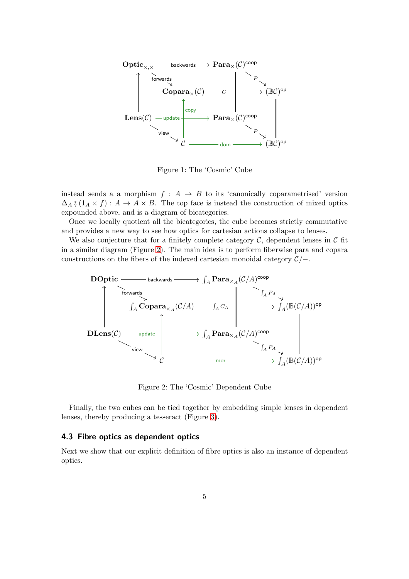

<span id="page-4-0"></span>Figure 1: The 'Cosmic' Cube

instead sends a a morphism  $f : A \rightarrow B$  to its 'canonically coparametrised' version  $\Delta_A$  ;  $(1_A \times f) : A \to A \times B$ . The top face is instead the construction of mixed optics expounded above, and is a diagram of bicategories.

Once we locally quotient all the bicategories, the cube becomes strictly commutative and provides a new way to see how optics for cartesian actions collapse to lenses.

We also conjecture that for a finitely complete category  $\mathcal{C}$ , dependent lenses in  $\mathcal{C}$  fit in a similar diagram (Figure [2\)](#page-4-1). The main idea is to perform fiberwise para and copara constructions on the fibers of the indexed cartesian monoidal category  $\mathcal{C}/-$ .



<span id="page-4-1"></span>Figure 2: The 'Cosmic' Dependent Cube

Finally, the two cubes can be tied together by embedding simple lenses in dependent lenses, thereby producing a tesseract (Figure [3\)](#page-5-0).

#### 4.3 Fibre optics as dependent optics

Next we show that our explicit definition of fibre optics is also an instance of dependent optics.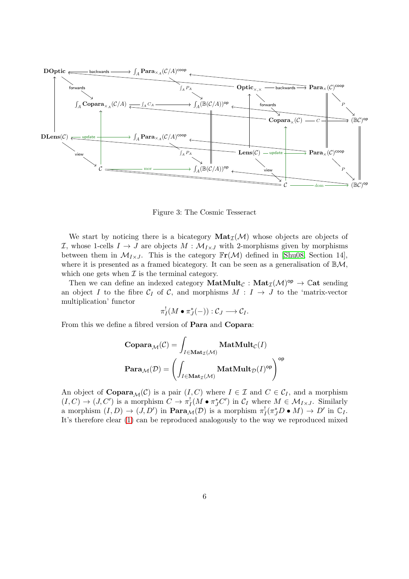

<span id="page-5-0"></span>Figure 3: The Cosmic Tesseract

We start by noticing there is a bicategory  $\text{Mat}_{\mathcal{I}}(\mathcal{M})$  whose objects are objects of *I*, whose 1-cells *I* → *J* are objects *M* :  $M$ <sub>*I*×*J*</sub> with 2-morphisms given by morphisms between them in  $\mathcal{M}_{I\times J}$ . This is the category  $\mathbb{F}_r(\mathcal{M})$  defined in [\[Shu08,](#page-7-9) Section 14], where it is presented as a framed bicategory. It can be seen as a generalisation of  $\mathbb{B}\mathcal{M}$ , which one gets when  $\mathcal I$  is the terminal category.

Then we can define an indexed category  $\text{MatMult}_{\mathcal{C}} : \text{Mat}_{\mathcal{I}}(\mathcal{M})^{\text{op}} \to \mathbb{C}$ at sending an object I to the fibre  $C_I$  of C, and morphisms  $M : I \rightarrow J$  to the 'matrix-vector multiplication' functor

$$
\pi_I^!(M\bullet \pi_J^*(-)): {\mathcal C}_J\longrightarrow {\mathcal C}_I.
$$

From this we define a fibred version of Para and Copara:

$$
\begin{aligned} &\mathbf{Copara}_{\mathcal{M}}(\mathcal{C}) = \int_{I \in \mathbf{Mat}_{\mathcal{I}}(\mathcal{M})} \mathbf{MatMult}_{\mathcal{C}}(I) \\ &\mathbf{Para}_{\mathcal{M}}(\mathcal{D}) = \left(\int_{I \in \mathbf{Mat}_{\mathcal{I}}(\mathcal{M})} \mathbf{MatMult}_{\mathcal{D}}(I)^{\mathsf{op}}\right)^{\mathsf{op}} \end{aligned}
$$

An object of  $\mathbf{Copara}_{\mathcal{M}}(\mathcal{C})$  is a pair  $(I, C)$  where  $I \in \mathcal{I}$  and  $C \in \mathcal{C}_I$ , and a morphism  $(I, C) \to (J, C')$  is a morphism  $C \to \pi_I^!(M \bullet \pi_J^* C')$  in  $C_I$  where  $M \in \mathcal{M}_{I \times J}$ . Similarly a morphism  $(I, D) \to (J, D')$  in  $\textbf{Para}_{\mathcal{M}}(D)$  is a morphism  $\pi_I^!(\pi_J^* D \bullet M) \to D'$  in  $\mathbb{C}_I$ . It's therefore clear [\(1\)](#page-2-1) can be reproduced analogously to the way we reproduced mixed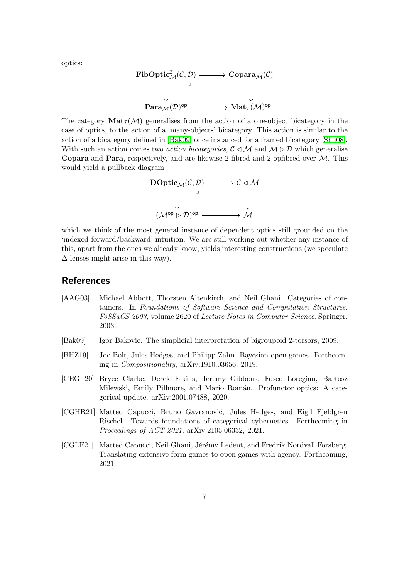optics:

$$
\begin{CD} \mathbf{FibOptic}_{\mathcal{M}}^{\mathcal{I}}(\mathcal{C},\mathcal{D}) @>>> \mathbf{Copara}_{\mathcal{M}}(\mathcal{C})\\ @VVV @VVV \\\mathbf{Para}_{\mathcal{M}}(\mathcal{D})^{\mathsf{op}} @>>> \mathbf{Mat}_{\mathcal{I}}(\mathcal{M})^{\mathsf{op}}\\ \end{CD}
$$

The category  $\text{Mat}_{\mathcal{T}}(\mathcal{M})$  generalises from the action of a one-object bicategory in the case of optics, to the action of a 'many-objects' bicategory. This action is similar to the action of a bicategory defined in [\[Bak09\]](#page-6-5) once instanced for a framed bicategory [\[Shu08\]](#page-7-9). With such an action comes two *action bicategories,*  $\mathcal{C} \triangleleft \mathcal{M}$  and  $\mathcal{M} \triangleright \mathcal{D}$  which generalise **Copara** and **Para**, respectively, and are likewise 2-fibred and 2-opfibred over  $M$ . This would yield a pullback diagram



which we think of the most general instance of dependent optics still grounded on the 'indexed forward/backward' intuition. We are still working out whether any instance of this, apart from the ones we already know, yields interesting constructions (we speculate  $\Delta$ -lenses might arise in this way).

#### **References**

- <span id="page-6-1"></span>[AAG03] Michael Abbott, Thorsten Altenkirch, and Neil Ghani. Categories of containers. In Foundations of Software Science and Computation Structures. FoSSaCS 2003, volume 2620 of Lecture Notes in Computer Science. Springer, 2003.
- <span id="page-6-5"></span>[Bak09] Igor Bakovic. The simplicial interpretation of bigroupoid 2-torsors, 2009.
- <span id="page-6-2"></span>[BHZ19] Joe Bolt, Jules Hedges, and Philipp Zahn. Bayesian open games. Forthcoming in Compositionality, arXiv:1910.03656, 2019.
- <span id="page-6-0"></span>[CEG+20] Bryce Clarke, Derek Elkins, Jeremy Gibbons, Fosco Loregian, Bartosz Milewski, Emily Pillmore, and Mario Román. Profunctor optics: A categorical update. arXiv:2001.07488, 2020.
- <span id="page-6-3"></span>[CGHR21] Matteo Capucci, Bruno Gavranović, Jules Hedges, and Eigil Fjeldgren Rischel. Towards foundations of categorical cybernetics. Forthcoming in Proceedings of ACT 2021, arXiv:2105.06332, 2021.
- <span id="page-6-4"></span>[CGLF21] Matteo Capucci, Neil Ghani, Jérémy Ledent, and Fredrik Nordvall Forsberg. Translating extensive form games to open games with agency. Forthcoming, 2021.